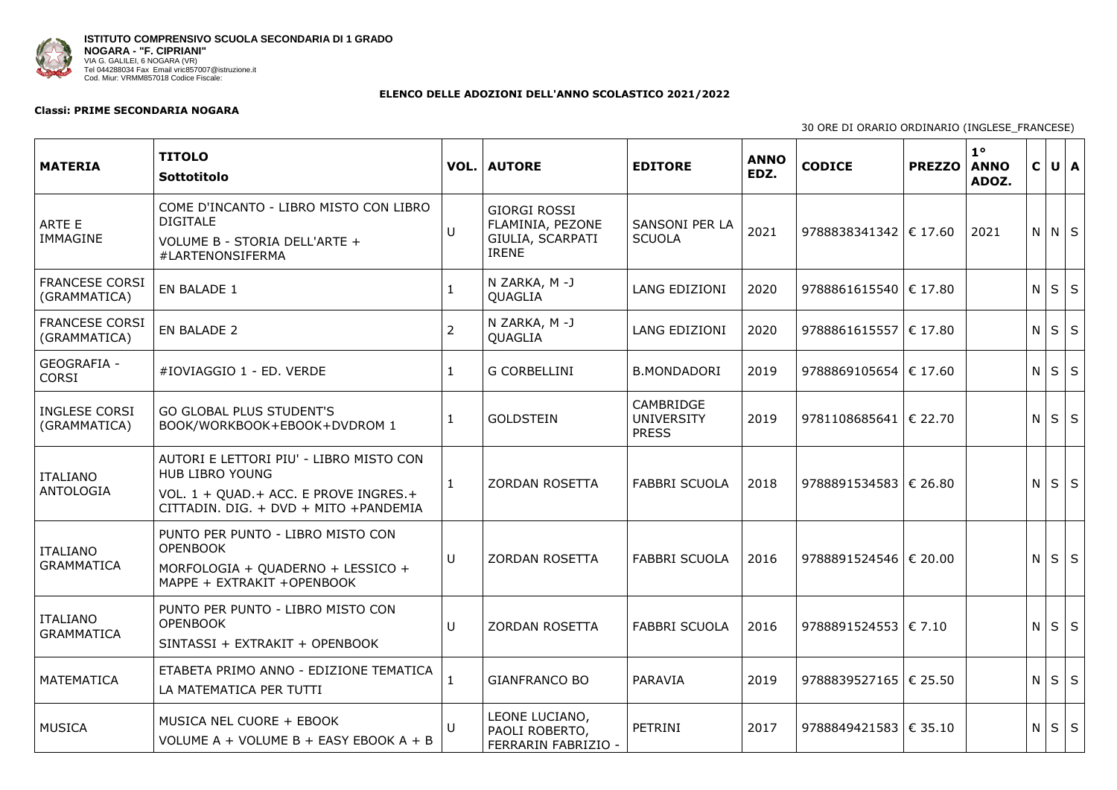

## **ELENCO DELLE ADOZIONI DELL'ANNO SCOLASTICO 2021/2022**

## **Classi: PRIME SECONDARIA NOGARA**

30 ORE D

| <b>MATERIA</b>                        | <b>TITOLO</b><br>Sottotitolo                                                                                                                          |                | <b>VOL.   AUTORE</b>                                                        | <b>EDITORE</b>                                        | <b>ANNO</b><br>EDZ. | <b>CODICE</b>               | <b>PREZZO</b> | $1^{\circ}$<br><b>ANNO</b><br>ADOZ. | $\mathsf{C}$   |                 | U   A |
|---------------------------------------|-------------------------------------------------------------------------------------------------------------------------------------------------------|----------------|-----------------------------------------------------------------------------|-------------------------------------------------------|---------------------|-----------------------------|---------------|-------------------------------------|----------------|-----------------|-------|
| <b>ARTE E</b><br><b>IMMAGINE</b>      | COME D'INCANTO - LIBRO MISTO CON LIBRO<br><b>DIGITALE</b><br>VOLUME B - STORIA DELL'ARTE +<br>#LARTENONSIFERMA                                        | U              | <b>GIORGI ROSSI</b><br>FLAMINIA, PEZONE<br>GIULIA, SCARPATI<br><b>IRENE</b> | <b>SANSONI PER LA</b><br><b>SCUOLA</b>                | 2021                | 9788838341342   $\in$ 17.60 |               | 2021                                |                | $N$ $N$ $S$     |       |
| <b>FRANCESE CORSI</b><br>(GRAMMATICA) | <b>EN BALADE 1</b>                                                                                                                                    |                | N ZARKA, M -J<br><b>QUAGLIA</b>                                             | LANG EDIZIONI                                         | 2020                | 9788861615540  € 17.80      |               |                                     |                | $N$ $S$ $S$     |       |
| <b>FRANCESE CORSI</b><br>(GRAMMATICA) | <b>EN BALADE 2</b>                                                                                                                                    | $\overline{2}$ | N ZARKA, M -J<br>QUAGLIA                                                    | <b>LANG EDIZIONI</b>                                  | 2020                | 9788861615557   € 17.80     |               |                                     | N <sub>1</sub> | $S \mid S$      |       |
| <b>GEOGRAFIA -</b><br><b>CORSI</b>    | #IOVIAGGIO 1 - ED. VERDE                                                                                                                              |                | <b>G CORBELLINI</b>                                                         | <b>B.MONDADORI</b>                                    | 2019                | 9788869105654 $\in$ 17.60   |               |                                     | N              | $S \mid S \mid$ |       |
| <b>INGLESE CORSI</b><br>(GRAMMATICA)  | <b>GO GLOBAL PLUS STUDENT'S</b><br>BOOK/WORKBOOK+EBOOK+DVDROM 1                                                                                       | $\mathbf 1$    | <b>GOLDSTEIN</b>                                                            | <b>CAMBRIDGE</b><br><b>UNIVERSITY</b><br><b>PRESS</b> | 2019                | 9781108685641   € 22.70     |               |                                     |                | $N$ $S$ $S$     |       |
| <b>ITALIANO</b><br>ANTOLOGIA          | AUTORI E LETTORI PIU' - LIBRO MISTO CON<br><b>HUB LIBRO YOUNG</b><br>VOL. 1 + QUAD. + ACC. E PROVE INGRES. +<br>CITTADIN. DIG. + DVD + MITO +PANDEMIA |                | <b>ZORDAN ROSETTA</b>                                                       | <b>FABBRI SCUOLA</b>                                  | 2018                | 9788891534583   € 26.80     |               |                                     | N              | $S \mid S \mid$ |       |
| <b>ITALIANO</b><br><b>GRAMMATICA</b>  | PUNTO PER PUNTO - LIBRO MISTO CON<br><b>OPENBOOK</b><br>MORFOLOGIA + QUADERNO + LESSICO +<br>MAPPE + EXTRAKIT +OPENBOOK                               | $\cup$         | <b>ZORDAN ROSETTA</b>                                                       | <b>FABBRI SCUOLA</b>                                  | 2016                | 9788891524546   € 20.00     |               |                                     |                | $N$ $S$ $S$     |       |
| ITALIANO<br><b>GRAMMATICA</b>         | PUNTO PER PUNTO - LIBRO MISTO CON<br><b>OPENBOOK</b><br>SINTASSI + EXTRAKIT + OPENBOOK                                                                | U              | <b>ZORDAN ROSETTA</b>                                                       | <b>FABBRI SCUOLA</b>                                  | 2016                | 9788891524553   € 7.10      |               |                                     |                | $N$ $S$ $S$     |       |
| MATEMATICA                            | ETABETA PRIMO ANNO - EDIZIONE TEMATICA<br>LA MATEMATICA PER TUTTI                                                                                     |                | <b>GIANFRANCO BO</b>                                                        | PARAVIA                                               | 2019                | 9788839527165   € 25.50     |               |                                     |                | $N$ $S$ $S$     |       |
| MUSICA                                | MUSICA NEL CUORE + EBOOK<br>VOLUME $A + VOLUME B + EASY EBOOK A + B$                                                                                  | U              | LEONE LUCIANO,<br>PAOLI ROBERTO,<br>FERRARIN FABRIZIO -                     | <b>PETRINI</b>                                        | 2017                | 9788849421583   € 35.10     |               |                                     |                | $N$ $S$ $S$     |       |